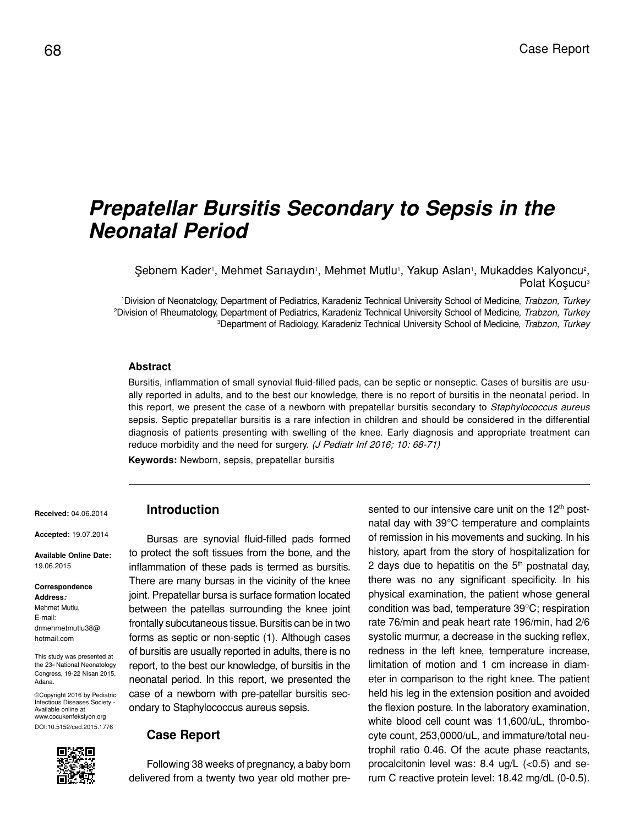# *Prepatellar Bursitis Secondary to Sepsis in the Neonatal Period*

Şebnem Kader<sup>i</sup>, Mehmet Sarıaydın<sup>ı</sup>, Mehmet Mutlu<sup>i</sup>, Yakup Aslan<sup>ı</sup>, Mukaddes Kalyoncu<sup>2</sup>, Polat Kosucu<sup>3</sup>

1 Division of Neonatology, Department of Pediatrics, Karadeniz Technical University School of Medicine, *Trabzon, Turkey* 2 Division of Rheumatology, Department of Pediatrics, Karadeniz Technical University School of Medicine, *Trabzon, Turkey* 3 Department of Radiology, Karadeniz Technical University School of Medicine, *Trabzon, Turkey*

#### **Abstract**

Bursitis, inflammation of small synovial fluid-filled pads, can be septic or nonseptic. Cases of bursitis are usually reported in adults, and to the best our knowledge, there is no report of bursitis in the neonatal period. In this report, we present the case of a newborn with prepatellar bursitis secondary to *Staphylococcus aureus* sepsis. Septic prepatellar bursitis is a rare infection in children and should be considered in the differential diagnosis of patients presenting with swelling of the knee. Early diagnosis and appropriate treatment can reduce morbidity and the need for surgery. (J Pediatr Inf 2016; 10: 68-71)

**Keywords:** Newborn, sepsis, prepatellar bursitis

**Received:** 04.06.2014

**Accepted:** 19.07.2014

**Available Online Date:**  19.06.2015

**Correspondence Address:** Mehmet Mutlu, E-mail: drmehmetmutlu38@ hotmail.com

This study was presented at the 23<sup>d</sup> National Neonatology Congress, 19-22 Nisan 2015, Adana.

©Copyright 2016 by Pediatric Infectious Diseases Society - Available online at www.cocukenfeksiyon.org DOI:10.5152/ced.2015.1776



# **Introduction**

Bursas are synovial fluid-filled pads formed to protect the soft tissues from the bone, and the inflammation of these pads is termed as bursitis. There are many bursas in the vicinity of the knee joint. Prepatellar bursa is surface formation located between the patellas surrounding the knee joint frontally subcutaneous tissue. Bursitis can be in two forms as septic or non-septic (1). Although cases of bursitis are usually reported in adults, there is no report, to the best our knowledge, of bursitis in the neonatal period. In this report, we presented the case of a newborn with pre-patellar bursitis secondary to Staphylococcus aureus sepsis.

#### **Case Report**

Following 38 weeks of pregnancy, a baby born delivered from a twenty two year old mother presented to our intensive care unit on the 12<sup>th</sup> postnatal day with 39°C temperature and complaints of remission in his movements and sucking. In his history, apart from the story of hospitalization for 2 days due to hepatitis on the  $5<sup>th</sup>$  postnatal day, there was no any significant specificity. In his physical examination, the patient whose general condition was bad, temperature 39°C; respiration rate 76/min and peak heart rate 196/min, had 2/6 systolic murmur, a decrease in the sucking reflex, redness in the left knee, temperature increase, limitation of motion and 1 cm increase in diameter in comparison to the right knee. The patient held his leg in the extension position and avoided the flexion posture. In the laboratory examination, white blood cell count was 11,600/uL, thrombocyte count, 253,0000/uL, and immature/total neutrophil ratio 0.46. Of the acute phase reactants, procalcitonin level was:  $8.4 \text{ ug/L } (< 0.5)$  and serum C reactive protein level: 18.42 mg/dL (0-0.5).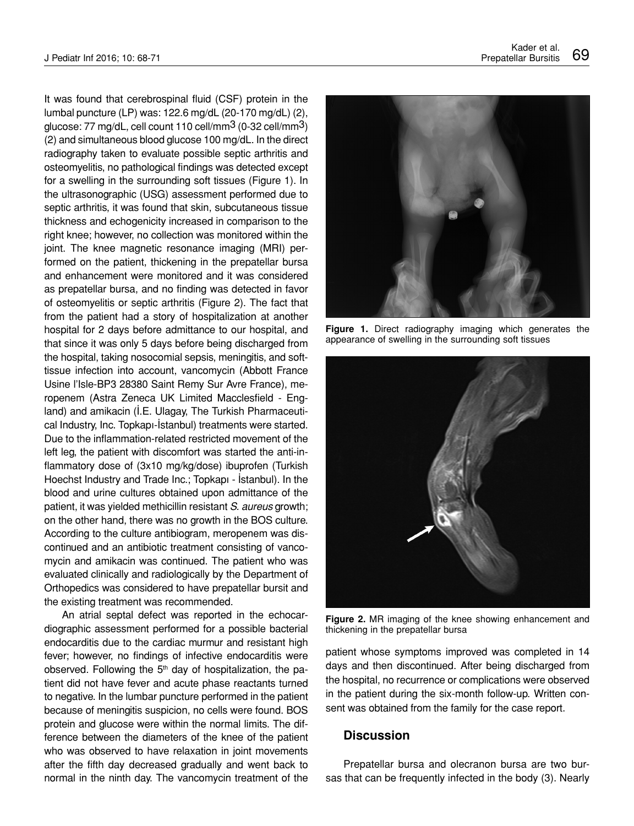It was found that cerebrospinal fluid (CSF) protein in the lumbal puncture (LP) was: 122.6 mg/dL (20-170 mg/dL) (2), glucose: 77 mg/dL, cell count 110 cell/mm3 (0-32 cell/mm3) (2) and simultaneous blood glucose 100 mg/dL. In the direct radiography taken to evaluate possible septic arthritis and osteomyelitis, no pathological findings was detected except for a swelling in the surrounding soft tissues (Figure 1). In the ultrasonographic (USG) assessment performed due to septic arthritis, it was found that skin, subcutaneous tissue thickness and echogenicity increased in comparison to the right knee; however, no collection was monitored within the joint. The knee magnetic resonance imaging (MRI) performed on the patient, thickening in the prepatellar bursa and enhancement were monitored and it was considered as prepatellar bursa, and no finding was detected in favor of osteomyelitis or septic arthritis (Figure 2). The fact that from the patient had a story of hospitalization at another hospital for 2 days before admittance to our hospital, and that since it was only 5 days before being discharged from the hospital, taking nosocomial sepsis, meningitis, and softtissue infection into account, vancomycin (Abbott France Usine l'Isle-BP3 28380 Saint Remy Sur Avre France), meropenem (Astra Zeneca UK Limited Macclesfield - England) and amikacin (İ.E. Ulagay, The Turkish Pharmaceutical Industry, Inc. Topkapı-İstanbul) treatments were started. Due to the inflammation-related restricted movement of the left leg, the patient with discomfort was started the anti-inflammatory dose of (3x10 mg/kg/dose) ibuprofen (Turkish Hoechst Industry and Trade Inc.; Topkapı - İstanbul). In the blood and urine cultures obtained upon admittance of the patient, it was yielded methicillin resistant *S. aureus* growth; on the other hand, there was no growth in the BOS culture. According to the culture antibiogram, meropenem was discontinued and an antibiotic treatment consisting of vancomycin and amikacin was continued. The patient who was evaluated clinically and radiologically by the Department of Orthopedics was considered to have prepatellar bursit and the existing treatment was recommended.

An atrial septal defect was reported in the echocardiographic assessment performed for a possible bacterial endocarditis due to the cardiac murmur and resistant high fever; however, no findings of infective endocarditis were observed. Following the  $5<sup>th</sup>$  day of hospitalization, the patient did not have fever and acute phase reactants turned to negative. In the lumbar puncture performed in the patient because of meningitis suspicion, no cells were found. BOS protein and glucose were within the normal limits. The difference between the diameters of the knee of the patient who was observed to have relaxation in joint movements after the fifth day decreased gradually and went back to normal in the ninth day. The vancomycin treatment of the



**Figure 1.** Direct radiography imaging which generates the appearance of swelling in the surrounding soft tissues



**Figure 2.** MR imaging of the knee showing enhancement and thickening in the prepatellar bursa

patient whose symptoms improved was completed in 14 days and then discontinued. After being discharged from the hospital, no recurrence or complications were observed in the patient during the six-month follow-up. Written consent was obtained from the family for the case report.

# **Discussion**

Prepatellar bursa and olecranon bursa are two bursas that can be frequently infected in the body (3). Nearly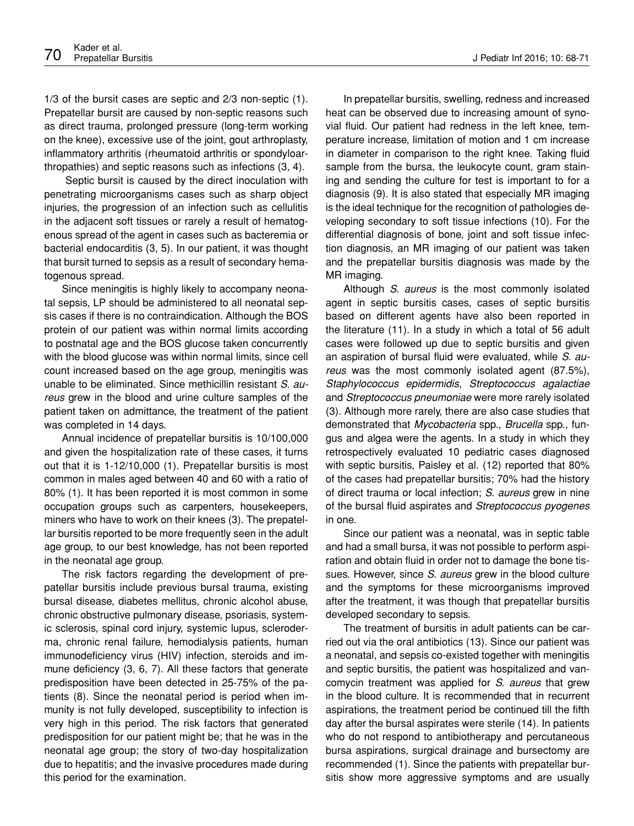1/3 of the bursit cases are septic and 2/3 non-septic (1). Prepatellar bursit are caused by non-septic reasons such as direct trauma, prolonged pressure (long-term working on the knee), excessive use of the joint, gout arthroplasty, inflammatory arthritis (rheumatoid arthritis or spondyloarthropathies) and septic reasons such as infections (3, 4).

 Septic bursit is caused by the direct inoculation with penetrating microorganisms cases such as sharp object injuries, the progression of an infection such as cellulitis in the adjacent soft tissues or rarely a result of hematogenous spread of the agent in cases such as bacteremia or bacterial endocarditis (3, 5). In our patient, it was thought that bursit turned to sepsis as a result of secondary hematogenous spread.

Since meningitis is highly likely to accompany neonatal sepsis, LP should be administered to all neonatal sepsis cases if there is no contraindication. Although the BOS protein of our patient was within normal limits according to postnatal age and the BOS glucose taken concurrently with the blood glucose was within normal limits, since cell count increased based on the age group, meningitis was unable to be eliminated. Since methicillin resistant *S. aureus* grew in the blood and urine culture samples of the patient taken on admittance, the treatment of the patient was completed in 14 days.

Annual incidence of prepatellar bursitis is 10/100,000 and given the hospitalization rate of these cases, it turns out that it is 1-12/10,000 (1). Prepatellar bursitis is most common in males aged between 40 and 60 with a ratio of 80% (1). It has been reported it is most common in some occupation groups such as carpenters, housekeepers, miners who have to work on their knees (3). The prepatellar bursitis reported to be more frequently seen in the adult age group, to our best knowledge, has not been reported in the neonatal age group.

The risk factors regarding the development of prepatellar bursitis include previous bursal trauma, existing bursal disease, diabetes mellitus, chronic alcohol abuse, chronic obstructive pulmonary disease, psoriasis, systemic sclerosis, spinal cord injury, systemic lupus, scleroderma, chronic renal failure, hemodialysis patients, human immunodeficiency virus (HIV) infection, steroids and immune deficiency (3, 6, 7). All these factors that generate predisposition have been detected in 25-75% of the patients (8). Since the neonatal period is period when immunity is not fully developed, susceptibility to infection is very high in this period. The risk factors that generated predisposition for our patient might be; that he was in the neonatal age group; the story of two-day hospitalization due to hepatitis; and the invasive procedures made during this period for the examination.

In prepatellar bursitis, swelling, redness and increased heat can be observed due to increasing amount of synovial fluid. Our patient had redness in the left knee, temperature increase, limitation of motion and 1 cm increase in diameter in comparison to the right knee. Taking fluid sample from the bursa, the leukocyte count, gram staining and sending the culture for test is important to for a diagnosis (9). It is also stated that especially MR imaging is the ideal technique for the recognition of pathologies developing secondary to soft tissue infections (10). For the differential diagnosis of bone, joint and soft tissue infection diagnosis, an MR imaging of our patient was taken and the prepatellar bursitis diagnosis was made by the MR imaging.

Although *S. aureus* is the most commonly isolated agent in septic bursitis cases, cases of septic bursitis based on different agents have also been reported in the literature (11). In a study in which a total of 56 adult cases were followed up due to septic bursitis and given an aspiration of bursal fluid were evaluated, while *S. aureus* was the most commonly isolated agent (87.5%), *Staphylococcus epidermidis*, *Streptococcus agalactiae*  and *Streptococcus pneumoniae* were more rarely isolated (3). Although more rarely, there are also case studies that demonstrated that *Mycobacteria* spp., *Brucella* spp., fungus and algea were the agents. In a study in which they retrospectively evaluated 10 pediatric cases diagnosed with septic bursitis, Paisley et al. (12) reported that 80% of the cases had prepatellar bursitis; 70% had the history of direct trauma or local infection; *S. aureus* grew in nine of the bursal fluid aspirates and *Streptococcus pyogenes* in one.

Since our patient was a neonatal, was in septic table and had a small bursa, it was not possible to perform aspiration and obtain fluid in order not to damage the bone tissues. However, since *S. aureus* grew in the blood culture and the symptoms for these microorganisms improved after the treatment, it was though that prepatellar bursitis developed secondary to sepsis.

The treatment of bursitis in adult patients can be carried out via the oral antibiotics (13). Since our patient was a neonatal, and sepsis co-existed together with meningitis and septic bursitis, the patient was hospitalized and vancomycin treatment was applied for *S. aureus* that grew in the blood culture. It is recommended that in recurrent aspirations, the treatment period be continued till the fifth day after the bursal aspirates were sterile (14). In patients who do not respond to antibiotherapy and percutaneous bursa aspirations, surgical drainage and bursectomy are recommended (1). Since the patients with prepatellar bursitis show more aggressive symptoms and are usually